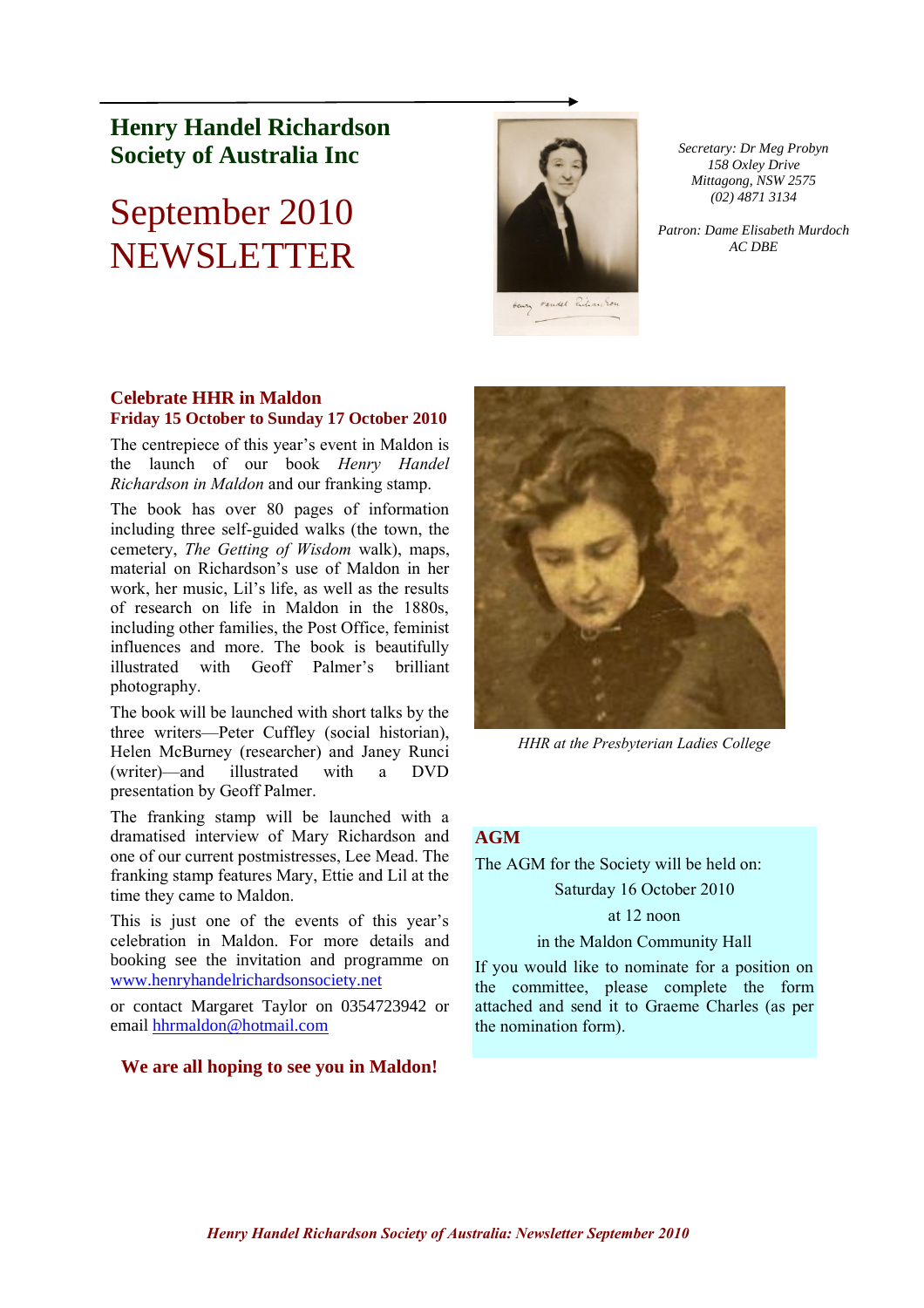# **Henry Handel Richardson Society of Australia Inc**

# September 2010 NEWSLETTER



*Secretary: Dr Meg Probyn 158 Oxley Drive Mittagong, NSW 2575 (02) 4871 3134*

*Patron: Dame Elisabeth Murdoch AC DBE*

## **Celebrate HHR in Maldon Friday 15 October to Sunday 17 October 2010**

The centrepiece of this year's event in Maldon is the launch of our book *Henry Handel Richardson in Maldon* and our franking stamp.

The book has over 80 pages of information including three self-guided walks (the town, the cemetery, *The Getting of Wisdom* walk), maps, material on Richardson's use of Maldon in her work, her music, Lil's life, as well as the results of research on life in Maldon in the 1880s, including other families, the Post Office, feminist influences and more. The book is beautifully illustrated with Geoff Palmer's brilliant photography.

The book will be launched with short talks by the three writers—Peter Cuffley (social historian), Helen McBurney (researcher) and Janey Runci (writer)—and illustrated with a DVD presentation by Geoff Palmer.

The franking stamp will be launched with a dramatised interview of Mary Richardson and one of our current postmistresses, Lee Mead. The franking stamp features Mary, Ettie and Lil at the time they came to Maldon.

This is just one of the events of this year's celebration in Maldon. For more details and booking see the invitation and programme on [www.henryhandelrichardsonsociety.net](http://www.henryhandelrichardsonsociety.net/)

or contact Margaret Taylor on 0354723942 or email [hhrmaldon@hotmail.com](mailto:hhrmaldon@hotmail.com)

## **We are all hoping to see you in Maldon!**



*HHR at the Presbyterian Ladies College*

## **AGM**

The AGM for the Society will be held on:

## Saturday 16 October 2010

## at 12 noon

## in the Maldon Community Hall

If you would like to nominate for a position on the committee, please complete the form attached and send it to Graeme Charles (as per the nomination form).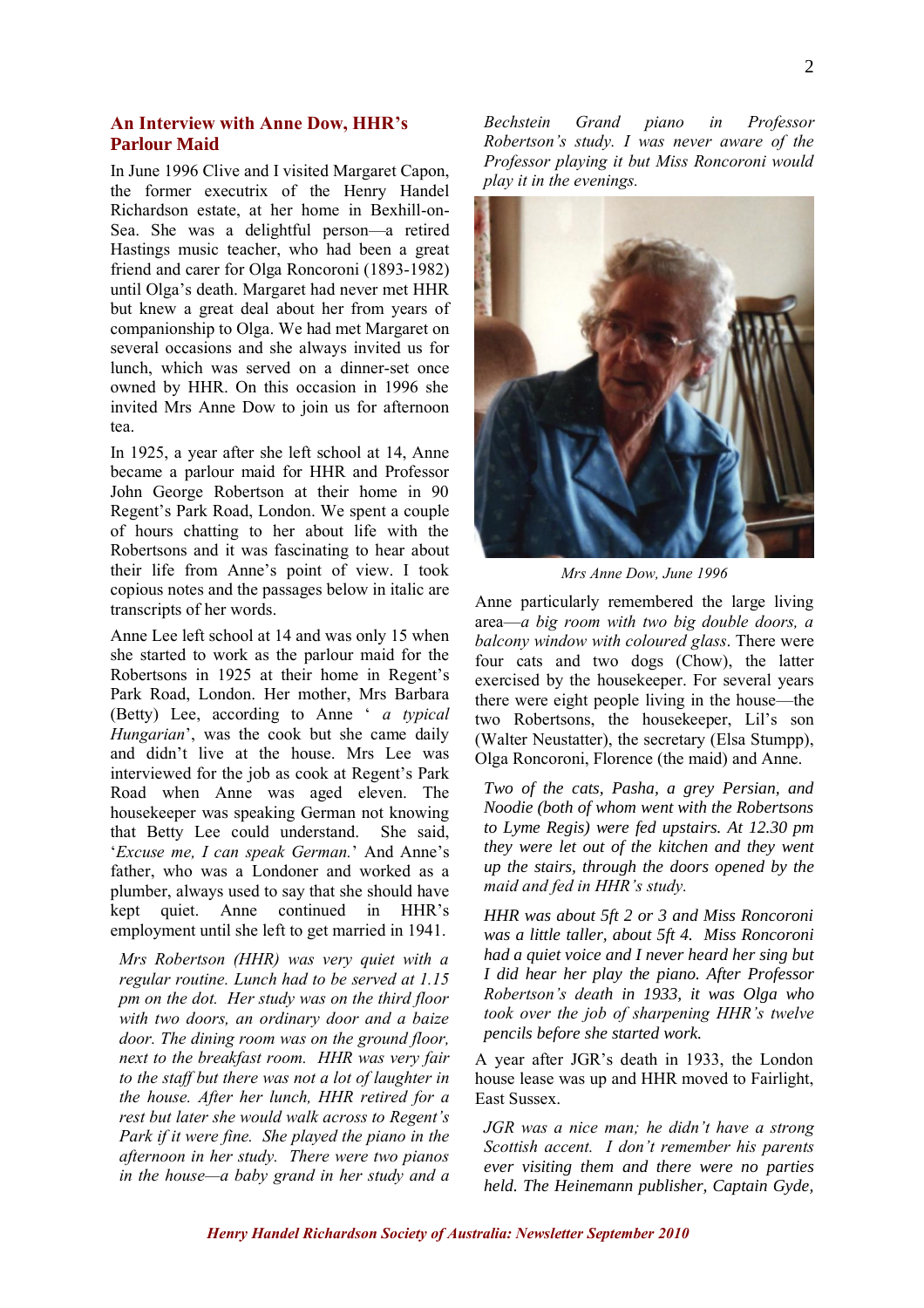In June 1996 Clive and I visited Margaret Capon, the former executrix of the Henry Handel Richardson estate, at her home in Bexhill-on-Sea. She was a delightful person—a retired Hastings music teacher, who had been a great friend and carer for Olga Roncoroni (1893-1982) until Olga's death. Margaret had never met HHR but knew a great deal about her from years of companionship to Olga. We had met Margaret on several occasions and she always invited us for lunch, which was served on a dinner-set once owned by HHR. On this occasion in 1996 she invited Mrs Anne Dow to join us for afternoon tea.

In 1925, a year after she left school at 14, Anne became a parlour maid for HHR and Professor John George Robertson at their home in 90 Regent's Park Road, London. We spent a couple of hours chatting to her about life with the Robertsons and it was fascinating to hear about their life from Anne's point of view. I took copious notes and the passages below in italic are transcripts of her words.

Anne Lee left school at 14 and was only 15 when she started to work as the parlour maid for the Robertsons in 1925 at their home in Regent's Park Road, London. Her mother, Mrs Barbara (Betty) Lee, according to Anne ' *a typical Hungarian*', was the cook but she came daily and didn't live at the house. Mrs Lee was interviewed for the job as cook at Regent's Park Road when Anne was aged eleven. The housekeeper was speaking German not knowing that Betty Lee could understand. She said, '*Excuse me, I can speak German.*' And Anne's father, who was a Londoner and worked as a plumber, always used to say that she should have kept quiet. Anne continued in HHR's employment until she left to get married in 1941.

*Mrs Robertson (HHR) was very quiet with a regular routine. Lunch had to be served at 1.15 pm on the dot. Her study was on the third floor with two doors, an ordinary door and a baize door. The dining room was on the ground floor, next to the breakfast room. HHR was very fair to the staff but there was not a lot of laughter in the house. After her lunch, HHR retired for a rest but later she would walk across to Regent's Park if it were fine. She played the piano in the afternoon in her study. There were two pianos in the house—a baby grand in her study and a* 

*Bechstein Grand piano in Professor Robertson's study. I was never aware of the Professor playing it but Miss Roncoroni would play it in the evenings.*



*Mrs Anne Dow, June 1996*

Anne particularly remembered the large living area—*a big room with two big double doors, a balcony window with coloured glass*. There were four cats and two dogs (Chow), the latter exercised by the housekeeper. For several years there were eight people living in the house—the two Robertsons, the housekeeper, Lil's son (Walter Neustatter), the secretary (Elsa Stumpp), Olga Roncoroni, Florence (the maid) and Anne.

*Two of the cats, Pasha, a grey Persian, and Noodie (both of whom went with the Robertsons to Lyme Regis) were fed upstairs. At 12.30 pm they were let out of the kitchen and they went up the stairs, through the doors opened by the maid and fed in HHR's study.*

*HHR was about 5ft 2 or 3 and Miss Roncoroni was a little taller, about 5ft 4. Miss Roncoroni had a quiet voice and I never heard her sing but I did hear her play the piano. After Professor Robertson's death in 1933, it was Olga who took over the job of sharpening HHR's twelve pencils before she started work.* 

A year after JGR's death in 1933, the London house lease was up and HHR moved to Fairlight, East Sussex.

*JGR was a nice man; he didn't have a strong Scottish accent. I don't remember his parents ever visiting them and there were no parties held. The Heinemann publisher, Captain Gyde,*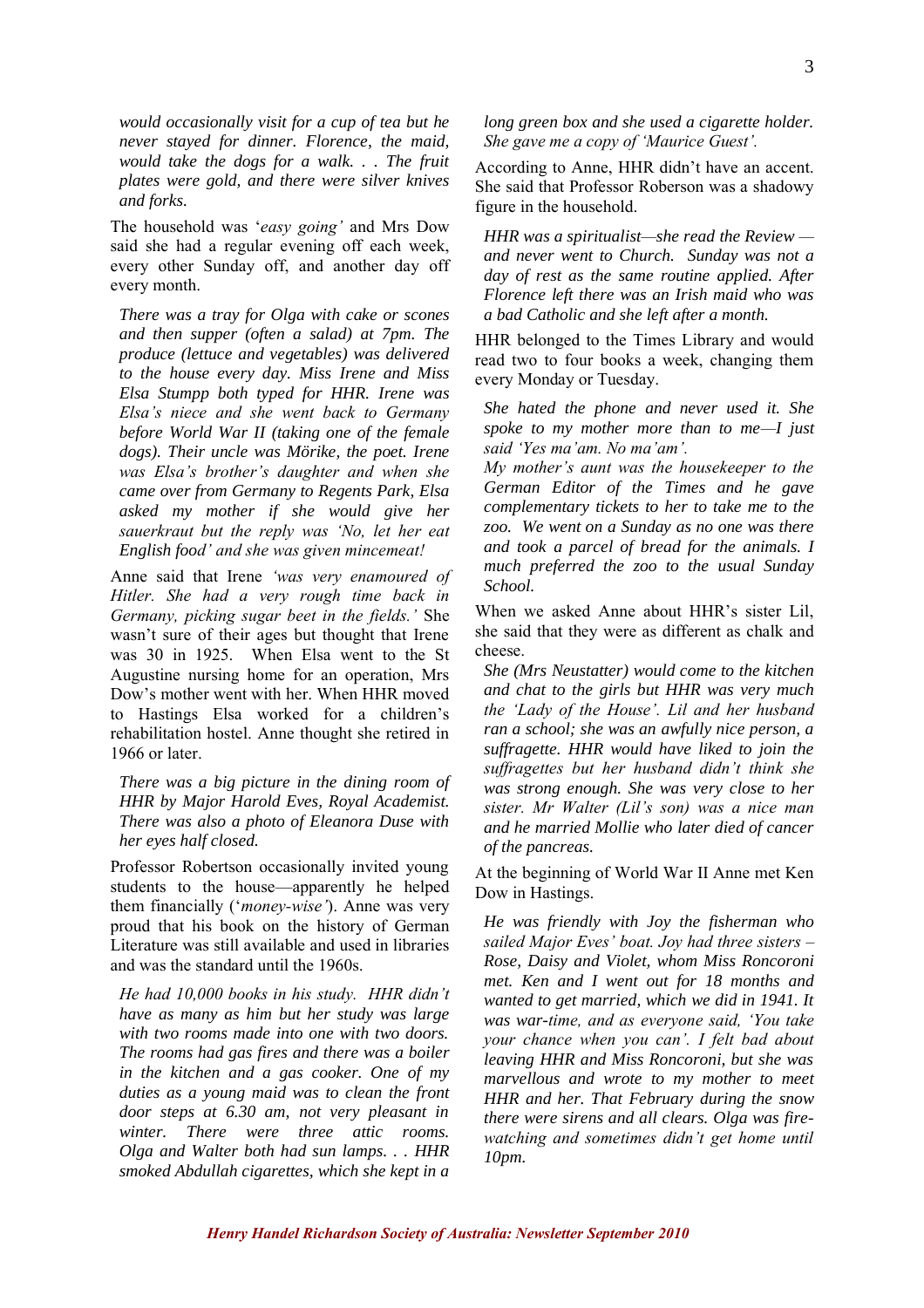*would occasionally visit for a cup of tea but he never stayed for dinner. Florence, the maid, would take the dogs for a walk. . . The fruit plates were gold, and there were silver knives and forks.*

The household was '*easy going'* and Mrs Dow said she had a regular evening off each week, every other Sunday off, and another day off every month.

*There was a tray for Olga with cake or scones and then supper (often a salad) at 7pm. The produce (lettuce and vegetables) was delivered to the house every day. Miss Irene and Miss Elsa Stumpp both typed for HHR. Irene was Elsa's niece and she went back to Germany before World War II (taking one of the female dogs). Their uncle was Mörike, the poet. Irene was Elsa's brother's daughter and when she came over from Germany to Regents Park, Elsa asked my mother if she would give her sauerkraut but the reply was 'No, let her eat English food' and she was given mincemeat!*

Anne said that Irene *'was very enamoured of Hitler. She had a very rough time back in Germany, picking sugar beet in the fields.'* She wasn't sure of their ages but thought that Irene was 30 in 1925. When Elsa went to the St Augustine nursing home for an operation, Mrs Dow's mother went with her. When HHR moved to Hastings Elsa worked for a children's rehabilitation hostel. Anne thought she retired in 1966 or later.

*There was a big picture in the dining room of HHR by Major Harold Eves, Royal Academist. There was also a photo of Eleanora Duse with her eyes half closed.*

Professor Robertson occasionally invited young students to the house—apparently he helped them financially ('*money-wise'*). Anne was very proud that his book on the history of German Literature was still available and used in libraries and was the standard until the 1960s.

*He had 10,000 books in his study. HHR didn't have as many as him but her study was large with two rooms made into one with two doors. The rooms had gas fires and there was a boiler in the kitchen and a gas cooker. One of my duties as a young maid was to clean the front door steps at 6.30 am, not very pleasant in winter. There were three attic rooms. Olga and Walter both had sun lamps. . . HHR smoked Abdullah cigarettes, which she kept in a*  *long green box and she used a cigarette holder. She gave me a copy of 'Maurice Guest'.*

According to Anne, HHR didn't have an accent. She said that Professor Roberson was a shadowy figure in the household.

*HHR was a spiritualist—she read the Review and never went to Church. Sunday was not a day of rest as the same routine applied. After Florence left there was an Irish maid who was a bad Catholic and she left after a month.* 

HHR belonged to the Times Library and would read two to four books a week, changing them every Monday or Tuesday.

*She hated the phone and never used it. She spoke to my mother more than to me—I just said 'Yes ma'am. No ma'am'.* 

*My mother's aunt was the housekeeper to the German Editor of the Times and he gave complementary tickets to her to take me to the zoo. We went on a Sunday as no one was there and took a parcel of bread for the animals. I much preferred the zoo to the usual Sunday School.*

When we asked Anne about HHR's sister Lil, she said that they were as different as chalk and cheese.

*She (Mrs Neustatter) would come to the kitchen and chat to the girls but HHR was very much the 'Lady of the House'. Lil and her husband ran a school; she was an awfully nice person, a suffragette. HHR would have liked to join the suffragettes but her husband didn't think she was strong enough. She was very close to her sister. Mr Walter (Lil's son) was a nice man and he married Mollie who later died of cancer of the pancreas.*

At the beginning of World War II Anne met Ken Dow in Hastings.

*He was friendly with Joy the fisherman who sailed Major Eves' boat. Joy had three sisters – Rose, Daisy and Violet, whom Miss Roncoroni met. Ken and I went out for 18 months and wanted to get married, which we did in 1941. It was war-time, and as everyone said, 'You take your chance when you can'. I felt bad about leaving HHR and Miss Roncoroni, but she was marvellous and wrote to my mother to meet HHR and her. That February during the snow there were sirens and all clears. Olga was firewatching and sometimes didn't get home until 10pm.*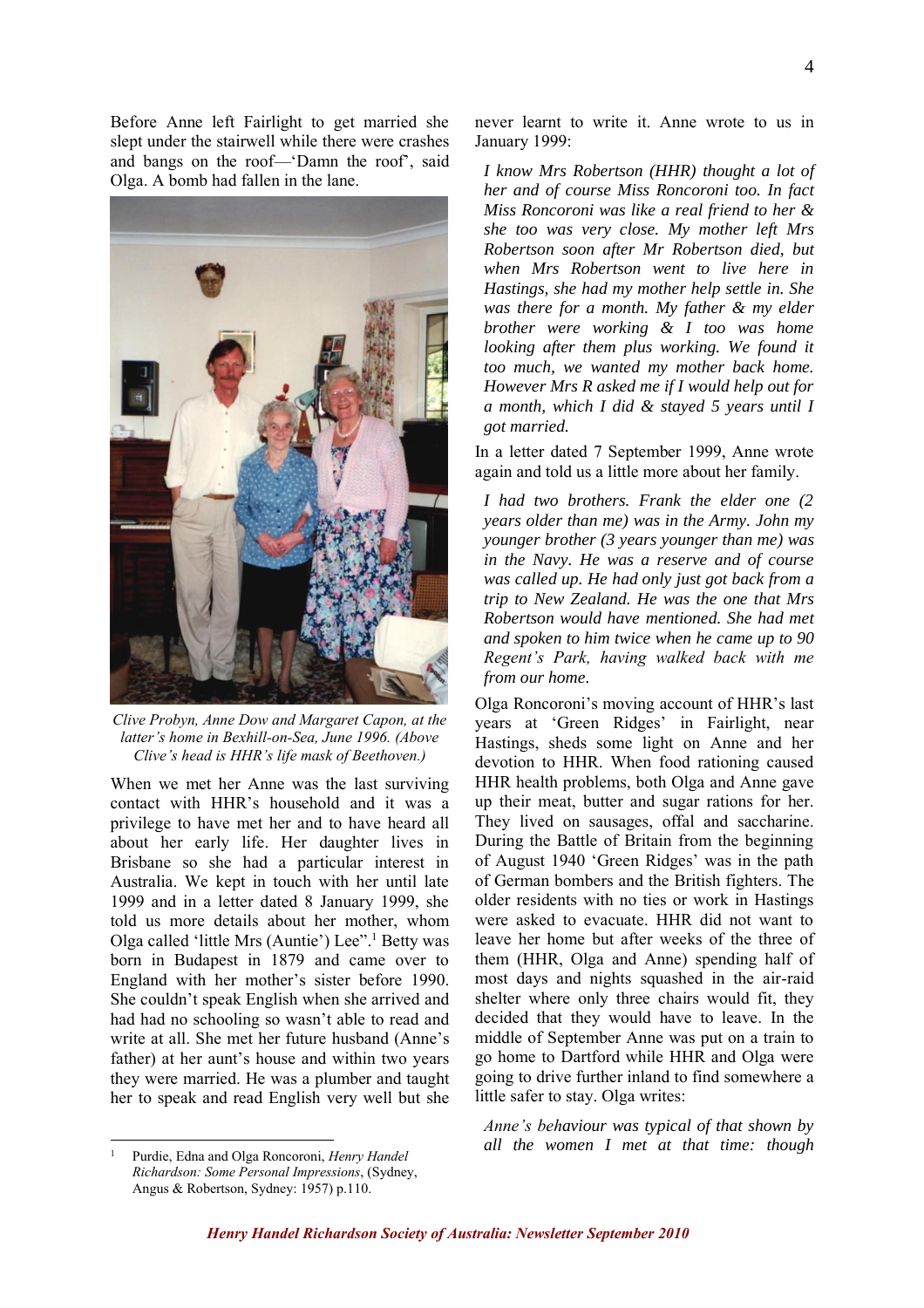Before Anne left Fairlight to get married she slept under the stairwell while there were crashes and bangs on the roof—'Damn the roof', said Olga. A bomb had fallen in the lane.



*Clive Probyn, Anne Dow and Margaret Capon, at the latter's home in Bexhill-on-Sea, June 1996. (Above Clive's head is HHR's life mask of Beethoven.)*

When we met her Anne was the last surviving contact with HHR's household and it was a privilege to have met her and to have heard all about her early life. Her daughter lives in Brisbane so she had a particular interest in Australia. We kept in touch with her until late 1999 and in a letter dated 8 January 1999, she told us more details about her mother, whom Olga called 'little Mrs (Auntie') Lee".<sup>1</sup> Betty was born in Budapest in 1879 and came over to England with her mother's sister before 1990. She couldn't speak English when she arrived and had had no schooling so wasn't able to read and write at all. She met her future husband (Anne's father) at her aunt's house and within two years they were married. He was a plumber and taught her to speak and read English very well but she

never learnt to write it. Anne wrote to us in January 1999:

*I know Mrs Robertson (HHR) thought a lot of her and of course Miss Roncoroni too. In fact Miss Roncoroni was like a real friend to her & she too was very close. My mother left Mrs Robertson soon after Mr Robertson died, but when Mrs Robertson went to live here in Hastings, she had my mother help settle in. She was there for a month. My father & my elder brother were working & I too was home looking after them plus working. We found it too much, we wanted my mother back home. However Mrs R asked me if I would help out for a month, which I did & stayed 5 years until I got married.* 

In a letter dated 7 September 1999, Anne wrote again and told us a little more about her family.

*I had two brothers. Frank the elder one (2 years older than me) was in the Army. John my younger brother (3 years younger than me) was in the Navy. He was a reserve and of course was called up. He had only just got back from a trip to New Zealand. He was the one that Mrs Robertson would have mentioned. She had met and spoken to him twice when he came up to 90 Regent's Park, having walked back with me from our home.*

Olga Roncoroni's moving account of HHR's last years at 'Green Ridges' in Fairlight, near Hastings, sheds some light on Anne and her devotion to HHR. When food rationing caused HHR health problems, both Olga and Anne gave up their meat, butter and sugar rations for her. They lived on sausages, offal and saccharine. During the Battle of Britain from the beginning of August 1940 'Green Ridges' was in the path of German bombers and the British fighters. The older residents with no ties or work in Hastings were asked to evacuate. HHR did not want to leave her home but after weeks of the three of them (HHR, Olga and Anne) spending half of most days and nights squashed in the air-raid shelter where only three chairs would fit, they decided that they would have to leave. In the middle of September Anne was put on a train to go home to Dartford while HHR and Olga were going to drive further inland to find somewhere a little safer to stay. Olga writes:

*Anne's behaviour was typical of that shown by all the women I met at that time: though* 

<sup>1</sup> Purdie, Edna and Olga Roncoroni, *Henry Handel Richardson: Some Personal Impressions*, (Sydney, Angus & Robertson, Sydney: 1957) p.110.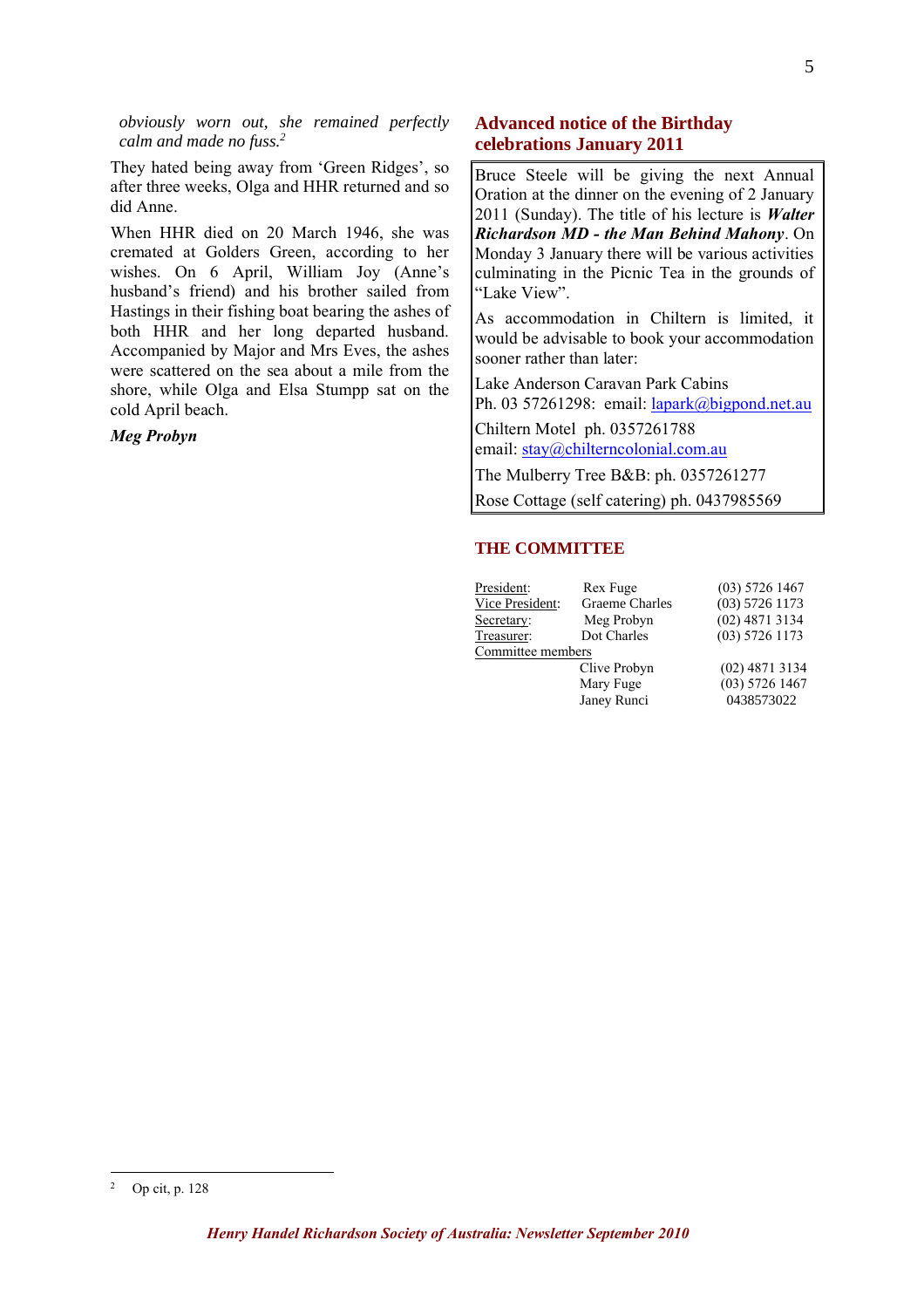*obviously worn out, she remained perfectly calm and made no fuss.<sup>2</sup>*

They hated being away from 'Green Ridges', so after three weeks, Olga and HHR returned and so did Anne.

When HHR died on 20 March 1946, she was cremated at Golders Green, according to her wishes. On 6 April, William Joy (Anne's husband's friend) and his brother sailed from Hastings in their fishing boat bearing the ashes of both HHR and her long departed husband. Accompanied by Major and Mrs Eves, the ashes were scattered on the sea about a mile from the shore, while Olga and Elsa Stumpp sat on the cold April beach.

*Meg Probyn*

## **Advanced notice of the Birthday celebrations January 2011**

Bruce Steele will be giving the next Annual Oration at the dinner on the evening of 2 January 2011 (Sunday). The title of his lecture is *Walter Richardson MD - the Man Behind Mahony*. On Monday 3 January there will be various activities culminating in the Picnic Tea in the grounds of "Lake View".

As accommodation in Chiltern is limited, it would be advisable to book your accommodation sooner rather than later:

Lake Anderson Caravan Park Cabins Ph. 03 57261298: email: lapark@bigpond.net.au

Chiltern Motel ph. 0357261788 email: stay@chilterncolonial.com.au

The Mulberry Tree B&B: ph. 0357261277

Rose Cottage (self catering) ph. 0437985569

### **THE COMMITTEE**

| President:        | Rex Fuge       | $(03)$ 5726 1467 |
|-------------------|----------------|------------------|
|                   |                |                  |
| Vice President:   | Graeme Charles | $(03)$ 5726 1173 |
| Secretary:        | Meg Probyn     | $(02)$ 4871 3134 |
| Treasurer:        | Dot Charles    | $(03)$ 5726 1173 |
| Committee members |                |                  |
|                   | Clive Probyn   | $(02)$ 4871 3134 |
|                   | Mary Fuge      | $(03)$ 5726 1467 |
|                   | Janey Runci    | 0438573022       |
|                   |                |                  |

<sup>2</sup> Op cit, p. 128